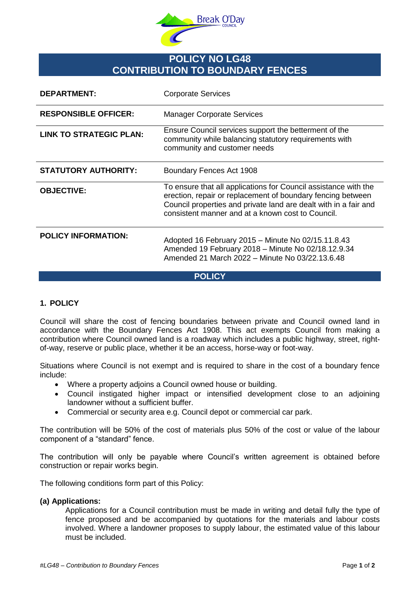

# **POLICY NO LG48 CONTRIBUTION TO BOUNDARY FENCES**

| <b>DEPARTMENT:</b>             | <b>Corporate Services</b>                                                                                                                                                                                                                               |
|--------------------------------|---------------------------------------------------------------------------------------------------------------------------------------------------------------------------------------------------------------------------------------------------------|
| <b>RESPONSIBLE OFFICER:</b>    | <b>Manager Corporate Services</b>                                                                                                                                                                                                                       |
| <b>LINK TO STRATEGIC PLAN:</b> | Ensure Council services support the betterment of the<br>community while balancing statutory requirements with<br>community and customer needs                                                                                                          |
| <b>STATUTORY AUTHORITY:</b>    | Boundary Fences Act 1908                                                                                                                                                                                                                                |
| <b>OBJECTIVE:</b>              | To ensure that all applications for Council assistance with the<br>erection, repair or replacement of boundary fencing between<br>Council properties and private land are dealt with in a fair and<br>consistent manner and at a known cost to Council. |
| <b>POLICY INFORMATION:</b>     | Adopted 16 February 2015 - Minute No 02/15.11.8.43<br>Amended 19 February 2018 - Minute No 02/18.12.9.34<br>Amended 21 March 2022 - Minute No 03/22.13.6.48                                                                                             |

## **POLICY**

# **1. POLICY**

Council will share the cost of fencing boundaries between private and Council owned land in accordance with the Boundary Fences Act 1908. This act exempts Council from making a contribution where Council owned land is a roadway which includes a public highway, street, rightof-way, reserve or public place, whether it be an access, horse-way or foot-way.

Situations where Council is not exempt and is required to share in the cost of a boundary fence include:

- Where a property adjoins a Council owned house or building.
- Council instigated higher impact or intensified development close to an adjoining landowner without a sufficient buffer.
- Commercial or security area e.g. Council depot or commercial car park.

The contribution will be 50% of the cost of materials plus 50% of the cost or value of the labour component of a "standard" fence.

The contribution will only be payable where Council's written agreement is obtained before construction or repair works begin.

The following conditions form part of this Policy:

## **(a) Applications:**

Applications for a Council contribution must be made in writing and detail fully the type of fence proposed and be accompanied by quotations for the materials and labour costs involved. Where a landowner proposes to supply labour, the estimated value of this labour must be included.